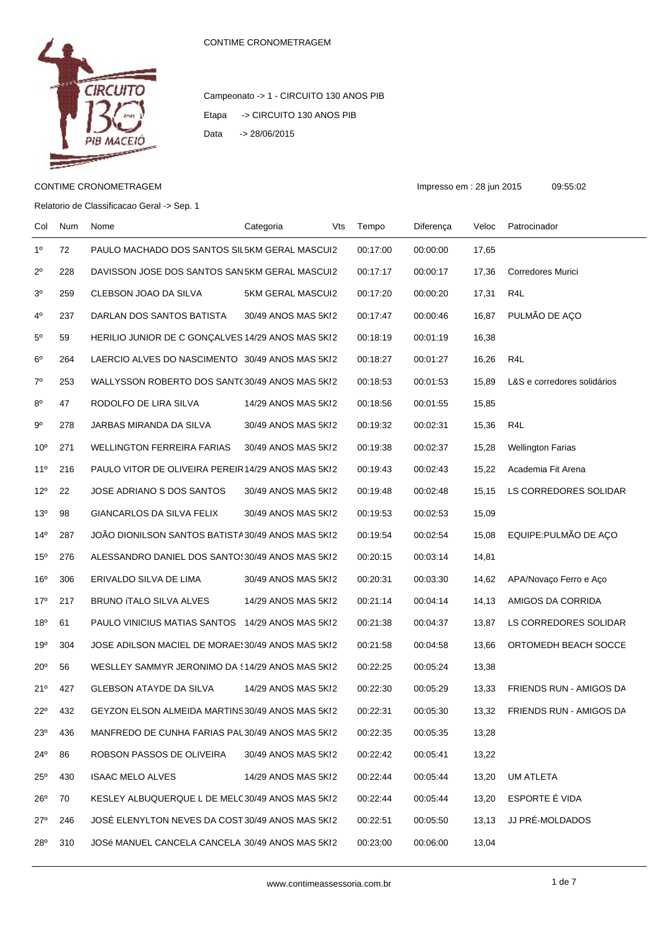

## Campeonato -> 1 - CIRCUITO 130 ANOS PIB Etapa -> CIRCUITO 130 ANOS PIB Data -> 28/06/2015

## CONTIME CRONOMETRAGEM Impresso em : 28 jun 2015 09:55:02

Relatorio de Classificacao Geral -> Sep. 1

Col Num Nome Categoria Vts Tempo Diferença Veloc Patrocinador 1º 72 PAULO MACHADO DOS SANTOS SIL5KM GERAL MASCUI2 00:17:00 00:00:00 17,65 2º 228 DAVISSON JOSE DOS SANTOS SAN5KM GERAL MASCUI2 00:17:17 00:00:17 17.36 Corredores Murici 3º 259 CLEBSON JOAO DA SILVA 5KM GERAL MASCUI2 00:17:20 00:00:20 17,31 R4L 4º 237 DARLAN DOS SANTOS BATISTA 30/49 ANOS MAS 5KM2 00:17:47 00:00:46 16,87 PULMÃO DE AÇO 5º 59 HERILIO JUNIOR DE C GONÇALVES 14/29 ANOS MAS 5KI2 00:18:19 00:01:19 16,38 6º 264 LAERCIO ALVES DO NASCIMENTO 30/49 ANOS MAS 5KM2 00:18:27 00:01:27 16,26 R4L 7º 253 WALLYSSON ROBERTO DOS SANTOS AZEVEDO 30/49 ANOS MAS 5KM2 00:18:53 00:01:53 15,89 L&S e corredores solidários 8º 47 RODOLFO DE LIRA SILVA 14/29 ANOS MAS 5KI2 00:18:56 00:01:55 15,85 9º 278 JARBAS MIRANDA DA SILVA 30/49 ANOS MAS 5KI2 00:19:32 00:02:31 15,36 R4L 10º 271 WELLINGTON FERREIRA FARIAS 30/49 ANOS MAS 5KI2 00:19:38 00:02:37 15,28 Wellington Farias 11º 216 PAULO VITOR DE OLIVEIRA PEREIR14/29 ANOS MAS 5KI2 00:19:43 00:02:43 15.22 Academia Fit Arena 12º 22 JOSE ADRIANO S DOS SANTOS 30/49 ANOS MAS 5KI2 00:19:48 00:02:48 15,15 LS CORREDORES SOLIDAR 13º 98 GIANCARLOS DA SILVA FELIX 30/49 ANOS MAS 5KI2 00:19:53 00:02:53 15,09 14º 287 JOÃO DIONILSON SANTOS BATISTA30/49 ANOS MAS 5KI2 00:19:54 00:02:54 15,08 EQUIPE:PULMÃO DE AÇO 15º 276 ALESSANDRO DANIEL DOS SANTO 30/49 ANOS MAS 5KI2 00:20:15 00:03:14 14.81 16º 306 ERIVALDO SILVA DE LIMA 30/49 ANOS MAS 5KI2 00:20:31 00:03:30 14,62 APA/Novaço Ferro e Aço 17º 217 BRUNO ITALO SILVA ALVES 14/29 ANOS MAS 5KI2 00:21:14 00:04:14 14.13 AMIGOS DA CORRIDA 18º 61 PAULO VINICIUS MATIAS SANTOS 14/29 ANOS MAS 5KI2 00:21:38 00:04:37 13,87 LS CORREDORES SOLIDAR 19º 304 JOSE ADILSON MACIEL DE MORAES30/49 ANOS MAS 5KI2 00:21:58 00:04:58 13,66 ORTOMEDH BEACH SOCCE 20º 56 WESLLEY SAMMYR JERONIMO DA \$14/29 ANOS MAS 5KI2 00:22:25 00:05:24 13,38 21º 427 GLEBSON ATAYDE DA SILVA 14/29 ANOS MAS 5KI2 00:22:30 00:05:29 13,33 FRIENDS RUN - AMIGOS DA 22º 432 GEYZON ELSON ALMEIDA MARTINS30/49 ANOS MAS 5KI2 00:22:31 00:05:30 13,32 FRIENDS RUN - AMIGOS DA 23º 436 MANFREDO DE CUNHA FARIAS PAL 30/49 ANOS MAS 5KI2 00:22:35 00:05:35 13,28 24º 86 ROBSON PASSOS DE OLIVEIRA 30/49 ANOS MAS 5KI2 00:22:42 00:05:41 13,22 25º 430 ISAAC MELO ALVES 14/29 ANOS MAS 5KM2 00:22:44 00:05:44 13,20 UM ATLETA 26º 70 KESLEY ALBUQUERQUE L DE MELO30/49 ANOS MAS 5KM2 00:22:44 00:05:44 13,20 ESPORTE É VIDA 27º 246 JOSÉ ELENYLTON NEVES DA COST 30/49 ANOS MAS 5KI2 00:22:51 00:05:50 13,13 JJ PRÉ-MOLDADOS 28º 310 JOSé MANUEL CANCELA CANCELA 30/49 ANOS MAS 5KI2 00:23:00 00:06:00 13,04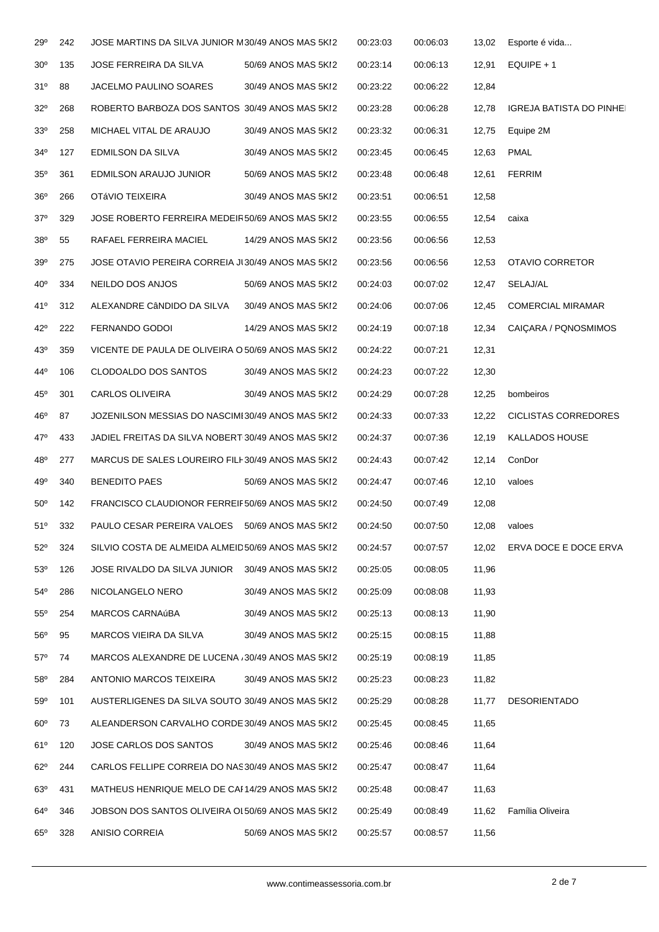| 29°             | 242 | JOSE MARTINS DA SILVA JUNIOR M30/49 ANOS MAS 5KI2  |                     | 00:23:03 | 00:06:03 | 13,02 | Esporte é vida                  |
|-----------------|-----|----------------------------------------------------|---------------------|----------|----------|-------|---------------------------------|
| 30 <sup>o</sup> | 135 | JOSE FERREIRA DA SILVA                             | 50/69 ANOS MAS 5KI2 | 00:23:14 | 00:06:13 | 12,91 | $EQUIPE + 1$                    |
| 31°             | 88  | JACELMO PAULINO SOARES                             | 30/49 ANOS MAS 5KI2 | 00:23:22 | 00:06:22 | 12,84 |                                 |
| $32^{\circ}$    | 268 | ROBERTO BARBOZA DOS SANTOS 30/49 ANOS MAS 5KI2     |                     | 00:23:28 | 00:06:28 | 12,78 | <b>IGREJA BATISTA DO PINHEI</b> |
| 33 <sup>0</sup> | 258 | MICHAEL VITAL DE ARAUJO                            | 30/49 ANOS MAS 5KI2 | 00:23:32 | 00:06:31 | 12,75 | Equipe 2M                       |
| $34^{\circ}$    | 127 | EDMILSON DA SILVA                                  | 30/49 ANOS MAS 5KI2 | 00:23:45 | 00:06:45 | 12,63 | <b>PMAL</b>                     |
| $35^{\circ}$    | 361 | EDMILSON ARAUJO JUNIOR                             | 50/69 ANOS MAS 5KI2 | 00:23:48 | 00:06:48 | 12,61 | <b>FERRIM</b>                   |
| 36 <sup>o</sup> | 266 | OTÁVIO TEIXEIRA                                    | 30/49 ANOS MAS 5KI2 | 00:23:51 | 00:06:51 | 12,58 |                                 |
| $37^\circ$      | 329 | JOSE ROBERTO FERREIRA MEDEIR50/69 ANOS MAS 5KI2    |                     | 00:23:55 | 00:06:55 | 12,54 | caixa                           |
| 38 <sup>o</sup> | 55  | RAFAEL FERREIRA MACIEL                             | 14/29 ANOS MAS 5KI2 | 00:23:56 | 00:06:56 | 12,53 |                                 |
| 39 <sup>o</sup> | 275 | JOSE OTAVIO PEREIRA CORREIA JI 30/49 ANOS MAS 5KI2 |                     | 00:23:56 | 00:06:56 | 12,53 | OTAVIO CORRETOR                 |
| $40^{\circ}$    | 334 | NEILDO DOS ANJOS                                   | 50/69 ANOS MAS 5KI2 | 00:24:03 | 00:07:02 | 12,47 | SELAJ/AL                        |
| 41°             | 312 | ALEXANDRE CÂNDIDO DA SILVA                         | 30/49 ANOS MAS 5KI2 | 00:24:06 | 00:07:06 | 12,45 | <b>COMERCIAL MIRAMAR</b>        |
| $42^{\circ}$    | 222 | FERNANDO GODOI                                     | 14/29 ANOS MAS 5KI2 | 00:24:19 | 00:07:18 | 12,34 | CAIÇARA / PQNOSMIMOS            |
| 43 <sup>°</sup> | 359 | VICENTE DE PAULA DE OLIVEIRA O 50/69 ANOS MAS 5KI2 |                     | 00:24:22 | 00:07:21 | 12,31 |                                 |
| 44°             | 106 | CLODOALDO DOS SANTOS                               | 30/49 ANOS MAS 5KI2 | 00:24:23 | 00:07:22 | 12,30 |                                 |
| $45^{\circ}$    | 301 | CARLOS OLIVEIRA                                    | 30/49 ANOS MAS 5KI2 | 00:24:29 | 00:07:28 | 12,25 | bombeiros                       |
| 46°             | 87  | JOZENILSON MESSIAS DO NASCIMI30/49 ANOS MAS 5KI2   |                     | 00:24:33 | 00:07:33 | 12,22 | CICLISTAS CORREDORES            |
| 47°             | 433 | JADIEL FREITAS DA SILVA NOBERT 30/49 ANOS MAS 5KI2 |                     | 00:24:37 | 00:07:36 | 12,19 | <b>KALLADOS HOUSE</b>           |
| 48°             | 277 | MARCUS DE SALES LOUREIRO FILI-30/49 ANOS MAS 5KI2  |                     | 00:24:43 | 00:07:42 | 12,14 | ConDor                          |
| 49°             | 340 | <b>BENEDITO PAES</b>                               | 50/69 ANOS MAS 5KI2 | 00:24:47 | 00:07:46 | 12,10 | valoes                          |
| $50^{\circ}$    | 142 | FRANCISCO CLAUDIONOR FERREIF50/69 ANOS MAS 5KI2    |                     | 00:24:50 | 00:07:49 | 12,08 |                                 |
| 51°             | 332 | PAULO CESAR PEREIRA VALOES 50/69 ANOS MAS 5KI2     |                     | 00:24:50 | 00:07:50 | 12,08 | valoes                          |
| $52^{\circ}$    | 324 | SILVIO COSTA DE ALMEIDA ALMEID50/69 ANOS MAS 5KI2  |                     | 00:24:57 | 00:07:57 | 12,02 | ERVA DOCE E DOCE ERVA           |
| 53 <sup>o</sup> | 126 | JOSE RIVALDO DA SILVA JUNIOR                       | 30/49 ANOS MAS 5KI2 | 00:25:05 | 00:08:05 | 11,96 |                                 |
| $54^{\circ}$    | 286 | NICOLANGELO NERO                                   | 30/49 ANOS MAS 5KI2 | 00:25:09 | 00:08:08 | 11,93 |                                 |
| $55^{\circ}$    | 254 | MARCOS CARNAúBA                                    | 30/49 ANOS MAS 5KI2 | 00:25:13 | 00:08:13 | 11,90 |                                 |
| $56^{\circ}$    | 95  | MARCOS VIEIRA DA SILVA                             | 30/49 ANOS MAS 5KI2 | 00:25:15 | 00:08:15 | 11,88 |                                 |
| $57^\circ$      | 74  | MARCOS ALEXANDRE DE LUCENA / 30/49 ANOS MAS 5KI2   |                     | 00:25:19 | 00:08:19 | 11,85 |                                 |
| $58^{\circ}$    | 284 | ANTONIO MARCOS TEIXEIRA                            | 30/49 ANOS MAS 5KI2 | 00:25:23 | 00:08:23 | 11,82 |                                 |
| 59°             | 101 | AUSTERLIGENES DA SILVA SOUTO 30/49 ANOS MAS 5KI2   |                     | 00:25:29 | 00:08:28 | 11,77 | <b>DESORIENTADO</b>             |
| $60^{\circ}$    | 73  | ALEANDERSON CARVALHO CORDE 30/49 ANOS MAS 5KI2     |                     | 00:25:45 | 00:08:45 | 11,65 |                                 |
| 61°             | 120 | JOSE CARLOS DOS SANTOS                             | 30/49 ANOS MAS 5KI2 | 00:25:46 | 00:08:46 | 11,64 |                                 |
| $62^{\circ}$    | 244 | CARLOS FELLIPE CORREIA DO NAS30/49 ANOS MAS 5KI2   |                     | 00:25:47 | 00:08:47 | 11,64 |                                 |
| 63 <sup>o</sup> | 431 | MATHEUS HENRIQUE MELO DE CAF14/29 ANOS MAS 5KI2    |                     | 00:25:48 | 00:08:47 | 11,63 |                                 |
| $64^{\circ}$    | 346 | JOBSON DOS SANTOS OLIVEIRA OL50/69 ANOS MAS 5KI2   |                     | 00:25:49 | 00:08:49 | 11,62 | Família Oliveira                |
| $65^{\circ}$    | 328 | ANISIO CORREIA                                     | 50/69 ANOS MAS 5KI2 | 00:25:57 | 00:08:57 | 11,56 |                                 |
|                 |     |                                                    |                     |          |          |       |                                 |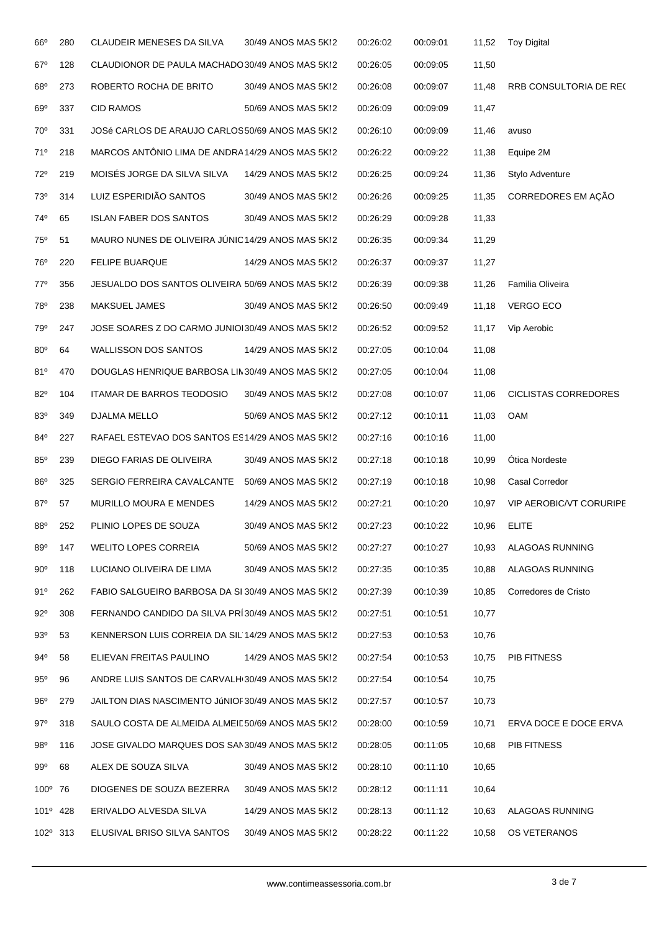| $66^{\circ}$      | 280 | <b>CLAUDEIR MENESES DA SILVA</b>                  | 30/49 ANOS MAS 5KI2 | 00:26:02 | 00:09:01 | 11,52 | <b>Toy Digital</b>             |
|-------------------|-----|---------------------------------------------------|---------------------|----------|----------|-------|--------------------------------|
| $67^\circ$        | 128 | CLAUDIONOR DE PAULA MACHADO 30/49 ANOS MAS 5KI2   |                     | 00:26:05 | 00:09:05 | 11,50 |                                |
| $68^{\circ}$      | 273 | ROBERTO ROCHA DE BRITO                            | 30/49 ANOS MAS 5KI2 | 00:26:08 | 00:09:07 | 11,48 | RRB CONSULTORIA DE REC         |
| $69^\circ$        | 337 | <b>CID RAMOS</b>                                  | 50/69 ANOS MAS 5KI2 | 00:26:09 | 00:09:09 | 11,47 |                                |
| 70°               | 331 | JOSé CARLOS DE ARAUJO CARLOS 50/69 ANOS MAS 5KI2  |                     | 00:26:10 | 00:09:09 | 11,46 | avuso                          |
| 71°               | 218 | MARCOS ANTÔNIO LIMA DE ANDRA14/29 ANOS MAS 5KI2   |                     | 00:26:22 | 00:09:22 | 11,38 | Equipe 2M                      |
| 72°               | 219 | MOISÉS JORGE DA SILVA SILVA                       | 14/29 ANOS MAS 5KI2 | 00:26:25 | 00:09:24 | 11,36 | Stylo Adventure                |
| 73°               | 314 | LUIZ ESPERIDIÃO SANTOS                            | 30/49 ANOS MAS 5KI2 | 00:26:26 | 00:09:25 | 11,35 | CORREDORES EM AÇÃO             |
| 74°               | 65  | <b>ISLAN FABER DOS SANTOS</b>                     | 30/49 ANOS MAS 5KI2 | 00:26:29 | 00:09:28 | 11,33 |                                |
| 75°               | 51  | MAURO NUNES DE OLIVEIRA JÚNIC14/29 ANOS MAS 5KI2  |                     | 00:26:35 | 00:09:34 | 11,29 |                                |
| 76°               | 220 | <b>FELIPE BUARQUE</b>                             | 14/29 ANOS MAS 5KI2 | 00:26:37 | 00:09:37 | 11,27 |                                |
| $77^{\circ}$      | 356 | JESUALDO DOS SANTOS OLIVEIRA 50/69 ANOS MAS 5KI2  |                     | 00:26:39 | 00:09:38 | 11,26 | Familia Oliveira               |
| 78°               | 238 | <b>MAKSUEL JAMES</b>                              | 30/49 ANOS MAS 5KI2 | 00:26:50 | 00:09:49 | 11,18 | <b>VERGO ECO</b>               |
| 79°               | 247 | JOSE SOARES Z DO CARMO JUNIOI30/49 ANOS MAS 5KI2  |                     | 00:26:52 | 00:09:52 | 11,17 | Vip Aerobic                    |
| $80^\circ$        | 64  | <b>WALLISSON DOS SANTOS</b>                       | 14/29 ANOS MAS 5KI2 | 00:27:05 | 00:10:04 | 11,08 |                                |
| 81°               | 470 | DOUGLAS HENRIQUE BARBOSA LIN30/49 ANOS MAS 5KI2   |                     | 00:27:05 | 00:10:04 | 11,08 |                                |
| $82^\circ$        | 104 | ITAMAR DE BARROS TEODOSIO                         | 30/49 ANOS MAS 5KI2 | 00:27:08 | 00:10:07 | 11,06 | <b>CICLISTAS CORREDORES</b>    |
| 83°               | 349 | DJALMA MELLO                                      | 50/69 ANOS MAS 5KI2 | 00:27:12 | 00:10:11 | 11,03 | <b>OAM</b>                     |
| 84°               | 227 | RAFAEL ESTEVAO DOS SANTOS ES14/29 ANOS MAS 5KI2   |                     | 00:27:16 | 00:10:16 | 11,00 |                                |
| $85^\circ$        | 239 | DIEGO FARIAS DE OLIVEIRA                          | 30/49 ANOS MAS 5KI2 | 00:27:18 | 00:10:18 | 10,99 | <b>Otica Nordeste</b>          |
| 86°               | 325 | SERGIO FERREIRA CAVALCANTE                        | 50/69 ANOS MAS 5KI2 | 00:27:19 | 00:10:18 | 10,98 | <b>Casal Corredor</b>          |
| $87^\circ$        | 57  | MURILLO MOURA E MENDES                            | 14/29 ANOS MAS 5KI2 | 00:27:21 | 00:10:20 | 10,97 | <b>VIP AEROBIC/VT CORURIPE</b> |
| 88°               | 252 | PLINIO LOPES DE SOUZA                             | 30/49 ANOS MAS 5KI2 | 00:27:23 | 00:10:22 | 10,96 | <b>ELITE</b>                   |
| 89 <sup>°</sup>   | 147 | <b>WELITO LOPES CORREIA</b>                       | 50/69 ANOS MAS 5KI2 | 00:27:27 | 00:10:27 | 10,93 | ALAGOAS RUNNING                |
| $90^{\circ}$      | 118 | LUCIANO OLIVEIRA DE LIMA                          | 30/49 ANOS MAS 5KI2 | 00:27:35 | 00:10:35 | 10,88 | ALAGOAS RUNNING                |
| 91°               | 262 | FABIO SALGUEIRO BARBOSA DA SI 30/49 ANOS MAS 5KI2 |                     | 00:27:39 | 00:10:39 | 10,85 | Corredores de Cristo           |
| $92^\circ$        | 308 | FERNANDO CANDIDO DA SILVA PRÍ30/49 ANOS MAS 5KI2  |                     | 00:27:51 | 00:10:51 | 10,77 |                                |
| 93°               | 53  | KENNERSON LUIS CORREIA DA SIL'14/29 ANOS MAS 5KI2 |                     | 00:27:53 | 00:10:53 | 10,76 |                                |
| 94°               | 58  | ELIEVAN FREITAS PAULINO                           | 14/29 ANOS MAS 5KI2 | 00:27:54 | 00:10:53 | 10,75 | PIB FITNESS                    |
| $95^\circ$        | 96  | ANDRE LUIS SANTOS DE CARVALH(30/49 ANOS MAS 5KI2  |                     | 00:27:54 | 00:10:54 | 10,75 |                                |
| 96°               | 279 | JAILTON DIAS NASCIMENTO JÚNIOF30/49 ANOS MAS 5KI2 |                     | 00:27:57 | 00:10:57 | 10,73 |                                |
| $97^\circ$        | 318 | SAULO COSTA DE ALMEIDA ALMEIL 50/69 ANOS MAS 5KI2 |                     | 00:28:00 | 00:10:59 | 10,71 | ERVA DOCE E DOCE ERVA          |
| $98^{\circ}$      | 116 | JOSE GIVALDO MARQUES DOS SAN30/49 ANOS MAS 5KI2   |                     | 00:28:05 | 00:11:05 | 10,68 | PIB FITNESS                    |
| $99^\circ$        | 68  | ALEX DE SOUZA SILVA                               | 30/49 ANOS MAS 5KI2 | 00:28:10 | 00:11:10 | 10,65 |                                |
| $100^{\circ}$     | 76  | DIOGENES DE SOUZA BEZERRA                         | 30/49 ANOS MAS 5KI2 | 00:28:12 | 00:11:11 | 10,64 |                                |
| 101°              | 428 | ERIVALDO ALVESDA SILVA                            | 14/29 ANOS MAS 5KI2 | 00:28:13 | 00:11:12 | 10,63 | ALAGOAS RUNNING                |
| $102^{\circ}$ 313 |     | ELUSIVAL BRISO SILVA SANTOS                       | 30/49 ANOS MAS 5KI2 | 00:28:22 | 00:11:22 | 10,58 | OS VETERANOS                   |
|                   |     |                                                   |                     |          |          |       |                                |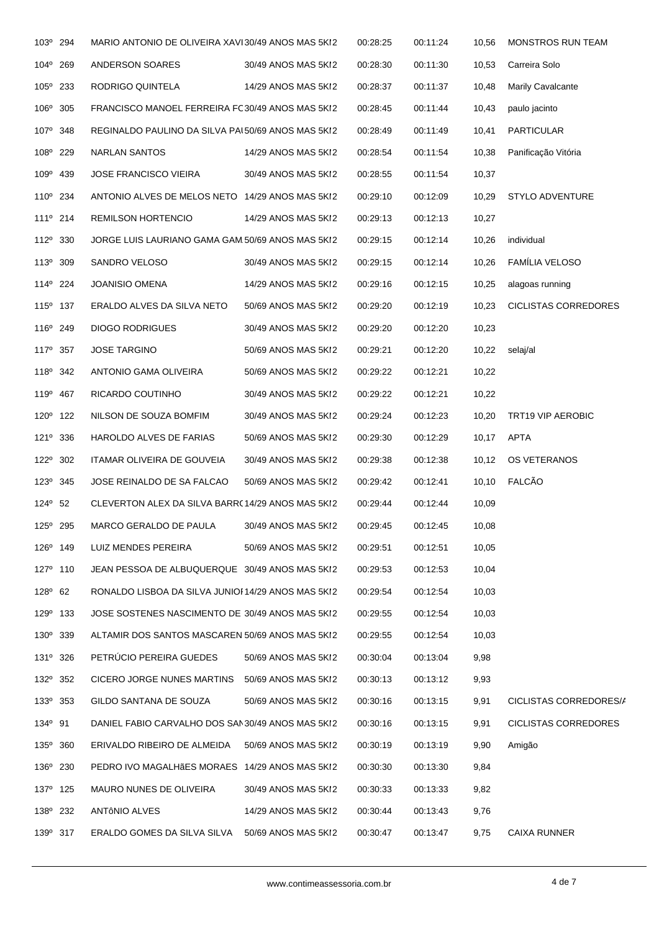| 103º 294             |     | MARIO ANTONIO DE OLIVEIRA XAVI30/49 ANOS MAS 5KI2  |                     | 00:28:25 | 00:11:24 | 10,56  | <b>MONSTROS RUN TEAM</b>    |
|----------------------|-----|----------------------------------------------------|---------------------|----------|----------|--------|-----------------------------|
| $104^\circ$          | 269 | ANDERSON SOARES                                    | 30/49 ANOS MAS 5KI2 | 00:28:30 | 00:11:30 | 10,53  | Carreira Solo               |
| 105° 233             |     | RODRIGO QUINTELA                                   | 14/29 ANOS MAS 5KI2 | 00:28:37 | 00:11:37 | 10,48  | <b>Marily Cavalcante</b>    |
| 106° 305             |     | FRANCISCO MANOEL FERREIRA FC30/49 ANOS MAS 5KI2    |                     | 00:28:45 | 00:11:44 | 10,43  | paulo jacinto               |
| 107º 348             |     | REGINALDO PAULINO DA SILVA PAL50/69 ANOS MAS 5KI2  |                     | 00:28:49 | 00:11:49 | 10,41  | <b>PARTICULAR</b>           |
| 108º 229             |     | NARLAN SANTOS                                      | 14/29 ANOS MAS 5KI2 | 00:28:54 | 00:11:54 | 10,38  | Panificação Vitória         |
| 109° 439             |     | <b>JOSE FRANCISCO VIEIRA</b>                       | 30/49 ANOS MAS 5KI2 | 00:28:55 | 00:11:54 | 10,37  |                             |
| 110° 234             |     | ANTONIO ALVES DE MELOS NETO 14/29 ANOS MAS 5KI2    |                     | 00:29:10 | 00:12:09 | 10,29  | STYLO ADVENTURE             |
| $111^{\circ}$ 214    |     | REMILSON HORTENCIO                                 | 14/29 ANOS MAS 5KI2 | 00:29:13 | 00:12:13 | 10,27  |                             |
| 112 <sup>°</sup> 330 |     | JORGE LUIS LAURIANO GAMA GAM 50/69 ANOS MAS 5KI2   |                     | 00:29:15 | 00:12:14 | 10,26  | individual                  |
| 113 <sup>°</sup> 309 |     | SANDRO VELOSO                                      | 30/49 ANOS MAS 5KI2 | 00:29:15 | 00:12:14 | 10,26  | FAMÍLIA VELOSO              |
| 114 <sup>°</sup> 224 |     | JOANISIO OMENA                                     | 14/29 ANOS MAS 5KI2 | 00:29:16 | 00:12:15 | 10,25  | alagoas running             |
| 115 <sup>°</sup> 137 |     | ERALDO ALVES DA SILVA NETO                         | 50/69 ANOS MAS 5KI2 | 00:29:20 | 00:12:19 | 10,23  | <b>CICLISTAS CORREDORES</b> |
| 116 <sup>°</sup> 249 |     | <b>DIOGO RODRIGUES</b>                             | 30/49 ANOS MAS 5KI2 | 00:29:20 | 00:12:20 | 10,23  |                             |
| 117 <sup>°</sup> 357 |     | <b>JOSE TARGINO</b>                                | 50/69 ANOS MAS 5KI2 | 00:29:21 | 00:12:20 | 10,22  | selaj/al                    |
| 118 <sup>°</sup> 342 |     | ANTONIO GAMA OLIVEIRA                              | 50/69 ANOS MAS 5KI2 | 00:29:22 | 00:12:21 | 10,22  |                             |
| 119 <sup>°</sup> 467 |     | RICARDO COUTINHO                                   | 30/49 ANOS MAS 5KI2 | 00:29:22 | 00:12:21 | 10,22  |                             |
| 120° 122             |     | NILSON DE SOUZA BOMFIM                             | 30/49 ANOS MAS 5KI2 | 00:29:24 | 00:12:23 | 10,20  | TRT19 VIP AEROBIC           |
| 121 <sup>°</sup> 336 |     | HAROLDO ALVES DE FARIAS                            | 50/69 ANOS MAS 5KI2 | 00:29:30 | 00:12:29 | 10,17  | APTA                        |
| 122 <sup>0</sup> 302 |     | ITAMAR OLIVEIRA DE GOUVEIA                         | 30/49 ANOS MAS 5KI2 | 00:29:38 | 00:12:38 | 10,12  | OS VETERANOS                |
| $123^{\circ}$ 345    |     | JOSE REINALDO DE SA FALCAO                         | 50/69 ANOS MAS 5KI2 | 00:29:42 | 00:12:41 | 10, 10 | FALCÃO                      |
| $124^{\circ}$ 52     |     | CLEVERTON ALEX DA SILVA BARR(14/29 ANOS MAS 5KI2   |                     | 00:29:44 | 00:12:44 | 10,09  |                             |
| 125 <sup>°</sup> 295 |     | MARCO GERALDO DE PAULA                             | 30/49 ANOS MAS 5KI2 | 00:29:45 | 00:12:45 | 10,08  |                             |
| $126^{\circ}$ 149    |     | LUIZ MENDES PEREIRA                                | 50/69 ANOS MAS 5KI2 | 00:29:51 | 00:12:51 | 10,05  |                             |
| 127 <sup>°</sup> 110 |     | JEAN PESSOA DE ALBUQUERQUE 30/49 ANOS MAS 5KI2     |                     | 00:29:53 | 00:12:53 | 10,04  |                             |
| $128^{\circ}$ 62     |     | RONALDO LISBOA DA SILVA JUNIOI 14/29 ANOS MAS 5KI2 |                     | 00:29:54 | 00:12:54 | 10,03  |                             |
| 129 <sup>°</sup> 133 |     | JOSE SOSTENES NASCIMENTO DE 30/49 ANOS MAS 5KI2    |                     | 00:29:55 | 00:12:54 | 10,03  |                             |
| 130° 339             |     | ALTAMIR DOS SANTOS MASCAREN 50/69 ANOS MAS 5KI2    |                     | 00:29:55 | 00:12:54 | 10,03  |                             |
| 131º 326             |     | PETRÚCIO PEREIRA GUEDES                            | 50/69 ANOS MAS 5KI2 | 00:30:04 | 00:13:04 | 9,98   |                             |
| 132 <sup>°</sup> 352 |     | CICERO JORGE NUNES MARTINS                         | 50/69 ANOS MAS 5KI2 | 00:30:13 | 00:13:12 | 9,93   |                             |
| 133 <sup>°</sup> 353 |     | GILDO SANTANA DE SOUZA                             | 50/69 ANOS MAS 5KI2 | 00:30:16 | 00:13:15 | 9,91   | CICLISTAS CORREDORES/A      |
| 134 <sup>°</sup> 91  |     | DANIEL FABIO CARVALHO DOS SAN30/49 ANOS MAS 5KI2   |                     | 00:30:16 | 00:13:15 | 9,91   | CICLISTAS CORREDORES        |
| 135° 360             |     | ERIVALDO RIBEIRO DE ALMEIDA                        | 50/69 ANOS MAS 5KI2 | 00:30:19 | 00:13:19 | 9,90   | Amigão                      |
| 136 <sup>°</sup> 230 |     | PEDRO IVO MAGALHÃES MORAES 14/29 ANOS MAS 5KI2     |                     | 00:30:30 | 00:13:30 | 9,84   |                             |
| 137 <sup>°</sup> 125 |     | MAURO NUNES DE OLIVEIRA                            | 30/49 ANOS MAS 5KI2 | 00:30:33 | 00:13:33 | 9,82   |                             |
| 138 <sup>°</sup> 232 |     | ANTÔNIO ALVES                                      | 14/29 ANOS MAS 5KI2 | 00:30:44 | 00:13:43 | 9,76   |                             |
| 139 <sup>°</sup> 317 |     | ERALDO GOMES DA SILVA SILVA                        | 50/69 ANOS MAS 5KI2 | 00:30:47 | 00:13:47 | 9,75   | CAIXA RUNNER                |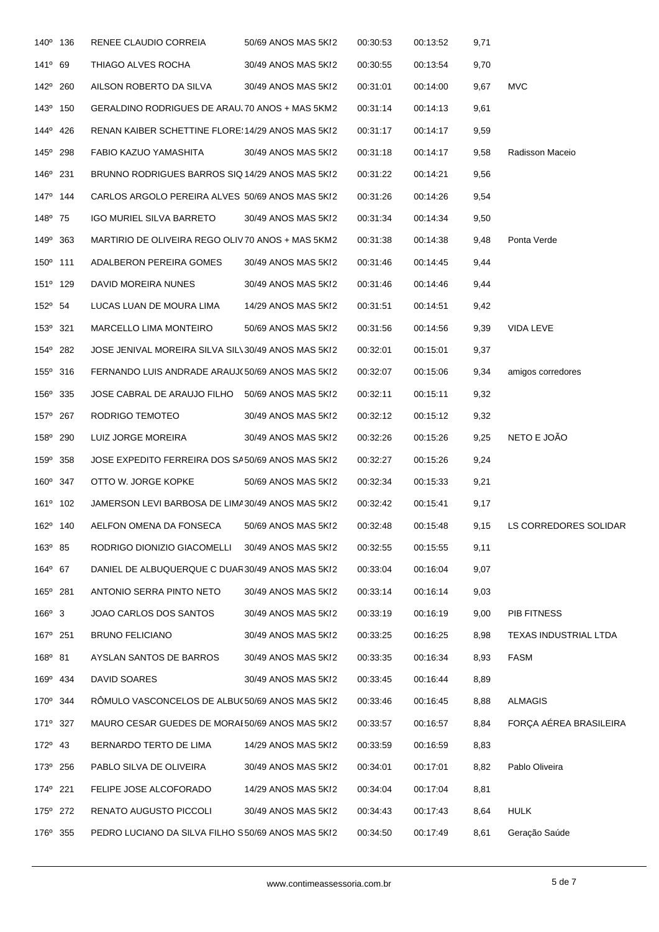| 140° 136             | RENEE CLAUDIO CORREIA                              | 50/69 ANOS MAS 5KI2 | 00:30:53 | 00:13:52 | 9,71 |                        |
|----------------------|----------------------------------------------------|---------------------|----------|----------|------|------------------------|
| $141^{\circ}$ 69     | THIAGO ALVES ROCHA                                 | 30/49 ANOS MAS 5KI2 | 00:30:55 | 00:13:54 | 9,70 |                        |
| 142° 260             | AILSON ROBERTO DA SILVA                            | 30/49 ANOS MAS 5KI2 | 00:31:01 | 00:14:00 | 9,67 | <b>MVC</b>             |
| 143 <sup>°</sup> 150 | GERALDINO RODRIGUES DE ARAU. 70 ANOS + MAS 5KM2    |                     | 00:31:14 | 00:14:13 | 9,61 |                        |
| 144 <sup>°</sup> 426 | RENAN KAIBER SCHETTINE FLORE: 14/29 ANOS MAS 5KI2  |                     | 00:31:17 | 00:14:17 | 9,59 |                        |
| 145 <sup>°</sup> 298 | FABIO KAZUO YAMASHITA                              | 30/49 ANOS MAS 5KI2 | 00:31:18 | 00:14:17 | 9,58 | Radisson Maceio        |
| 146 <sup>°</sup> 231 | BRUNNO RODRIGUES BARROS SIQ 14/29 ANOS MAS 5KI2    |                     | 00:31:22 | 00:14:21 | 9,56 |                        |
| 147 <sup>°</sup> 144 | CARLOS ARGOLO PEREIRA ALVES 50/69 ANOS MAS 5KI2    |                     | 00:31:26 | 00:14:26 | 9,54 |                        |
| 148 <sup>°</sup> 75  | IGO MURIEL SILVA BARRETO                           | 30/49 ANOS MAS 5KI2 | 00:31:34 | 00:14:34 | 9,50 |                        |
| 149 <sup>°</sup> 363 | MARTIRIO DE OLIVEIRA REGO OLIV70 ANOS + MAS 5KM2   |                     | 00:31:38 | 00:14:38 | 9,48 | Ponta Verde            |
| $150^{\circ}$ 111    | ADALBERON PEREIRA GOMES                            | 30/49 ANOS MAS 5KI2 | 00:31:46 | 00:14:45 | 9,44 |                        |
| 151 <sup>°</sup> 129 | DAVID MOREIRA NUNES                                | 30/49 ANOS MAS 5KI2 | 00:31:46 | 00:14:46 | 9,44 |                        |
| 152 <sup>°</sup> 54  | LUCAS LUAN DE MOURA LIMA                           | 14/29 ANOS MAS 5KI2 | 00:31:51 | 00:14:51 | 9,42 |                        |
| 153º 321             | MARCELLO LIMA MONTEIRO                             | 50/69 ANOS MAS 5KI2 | 00:31:56 | 00:14:56 | 9,39 | VIDA LEVE              |
| 154° 282             | JOSE JENIVAL MOREIRA SILVA SILV30/49 ANOS MAS 5KI2 |                     | 00:32:01 | 00:15:01 | 9,37 |                        |
| 155 <sup>°</sup> 316 | FERNANDO LUIS ANDRADE ARAUJ(50/69 ANOS MAS 5KI2    |                     | 00:32:07 | 00:15:06 | 9,34 | amigos corredores      |
| 156 <sup>°</sup> 335 | JOSE CABRAL DE ARAUJO FILHO 50/69 ANOS MAS 5KI2    |                     | 00:32:11 | 00:15:11 | 9,32 |                        |
| 157 <sup>°</sup> 267 | RODRIGO TEMOTEO                                    | 30/49 ANOS MAS 5KI2 | 00:32:12 | 00:15:12 | 9,32 |                        |
| 158º 290             | LUIZ JORGE MOREIRA                                 | 30/49 ANOS MAS 5KI2 | 00:32:26 | 00:15:26 | 9,25 | NETO E JOÃO            |
| 159° 358             | JOSE EXPEDITO FERREIRA DOS SA50/69 ANOS MAS 5KI2   |                     | 00:32:27 | 00:15:26 | 9,24 |                        |
| $160^{\circ}$ 347    | OTTO W. JORGE KOPKE                                | 50/69 ANOS MAS 5KI2 | 00:32:34 | 00:15:33 | 9,21 |                        |
| 161 <sup>°</sup> 102 | JAMERSON LEVI BARBOSA DE LIMA30/49 ANOS MAS 5KI2   |                     | 00:32:42 | 00:15:41 | 9,17 |                        |
| 162 <sup>°</sup> 140 | AELFON OMENA DA FONSECA                            | 50/69 ANOS MAS 5KI2 | 00:32:48 | 00:15:48 | 9,15 | LS CORREDORES SOLIDAR  |
| 163 <sup>°</sup> 85  | RODRIGO DIONIZIO GIACOMELLI                        | 30/49 ANOS MAS 5KI2 | 00:32:55 | 00:15:55 | 9,11 |                        |
| 164° 67              | DANIEL DE ALBUQUERQUE C DUAR30/49 ANOS MAS 5KI2    |                     | 00:33:04 | 00:16:04 | 9,07 |                        |
| 165° 281             | ANTONIO SERRA PINTO NETO                           | 30/49 ANOS MAS 5KI2 | 00:33:14 | 00:16:14 | 9,03 |                        |
| $166^{\circ}$ 3      | JOAO CARLOS DOS SANTOS                             | 30/49 ANOS MAS 5KI2 | 00:33:19 | 00:16:19 | 9,00 | PIB FITNESS            |
| 167 <sup>°</sup> 251 | <b>BRUNO FELICIANO</b>                             | 30/49 ANOS MAS 5KI2 | 00:33:25 | 00:16:25 | 8,98 | TEXAS INDUSTRIAL LTDA  |
| 168 <sup>°</sup> 81  | AYSLAN SANTOS DE BARROS                            | 30/49 ANOS MAS 5KI2 | 00:33:35 | 00:16:34 | 8,93 | FASM                   |
| 169° 434             | DAVID SOARES                                       | 30/49 ANOS MAS 5KI2 | 00:33:45 | 00:16:44 | 8,89 |                        |
| 170° 344             | RÖMULO VASCONCELOS DE ALBU(50/69 ANOS MAS 5KI2     |                     | 00:33:46 | 00:16:45 | 8,88 | <b>ALMAGIS</b>         |
| 171 <sup>0</sup> 327 | MAURO CESAR GUEDES DE MORAE 50/69 ANOS MAS 5KI2    |                     | 00:33:57 | 00:16:57 | 8,84 | FORÇA AÉREA BRASILEIRA |
| 172° 43              | BERNARDO TERTO DE LIMA                             | 14/29 ANOS MAS 5KI2 | 00:33:59 | 00:16:59 | 8,83 |                        |
| 173 <sup>°</sup> 256 | PABLO SILVA DE OLIVEIRA                            | 30/49 ANOS MAS 5KI2 | 00:34:01 | 00:17:01 | 8,82 | Pablo Oliveira         |
| 174 <sup>°</sup> 221 | FELIPE JOSE ALCOFORADO                             | 14/29 ANOS MAS 5KI2 | 00:34:04 | 00:17:04 | 8,81 |                        |
| 175 <sup>°</sup> 272 | RENATO AUGUSTO PICCOLI                             | 30/49 ANOS MAS 5KI2 | 00:34:43 | 00:17:43 | 8,64 | <b>HULK</b>            |
| 176 <sup>°</sup> 355 | PEDRO LUCIANO DA SILVA FILHO S50/69 ANOS MAS 5KI2  |                     | 00:34:50 | 00:17:49 | 8,61 | Geração Saúde          |
|                      |                                                    |                     |          |          |      |                        |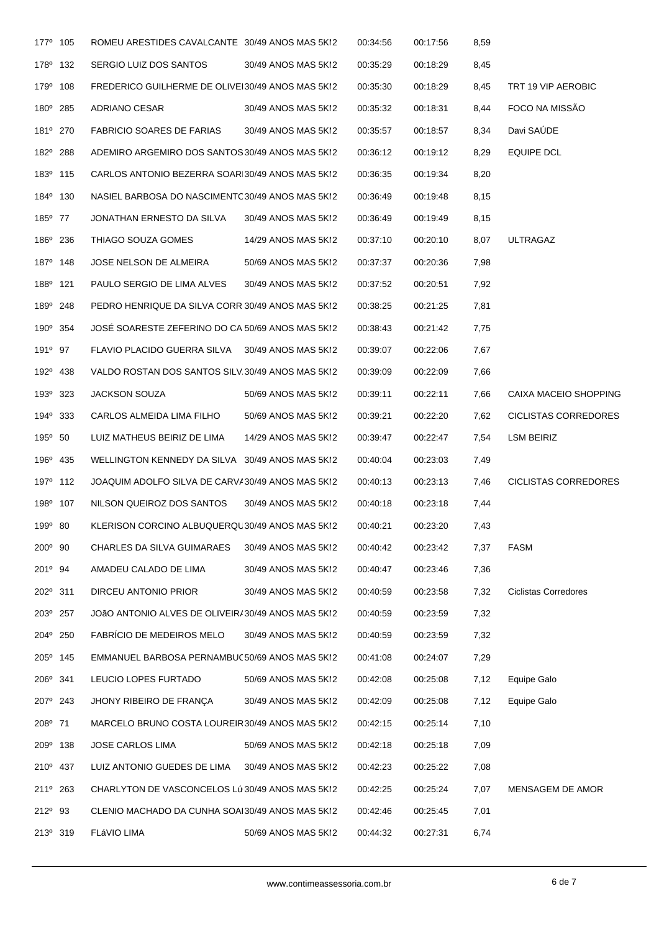| 177 <sup>°</sup> 105 | ROMEU ARESTIDES CAVALCANTE 30/49 ANOS MAS 5KI2    |                     | 00:34:56 | 00:17:56 | 8,59 |                              |
|----------------------|---------------------------------------------------|---------------------|----------|----------|------|------------------------------|
| 178 <sup>0</sup> 132 | SERGIO LUIZ DOS SANTOS                            | 30/49 ANOS MAS 5KI2 | 00:35:29 | 00:18:29 | 8,45 |                              |
| 179 <sup>°</sup> 108 | FREDERICO GUILHERME DE OLIVEI30/49 ANOS MAS 5KI2  |                     | 00:35:30 | 00:18:29 | 8,45 | TRT 19 VIP AEROBIC           |
| 180° 285             | ADRIANO CESAR                                     | 30/49 ANOS MAS 5KI2 | 00:35:32 | 00:18:31 | 8,44 | FOCO NA MISSÃO               |
| 181º 270             | <b>FABRICIO SOARES DE FARIAS</b>                  | 30/49 ANOS MAS 5KI2 | 00:35:57 | 00:18:57 | 8,34 | Davi SAÚDE                   |
| 182º 288             | ADEMIRO ARGEMIRO DOS SANTOS 30/49 ANOS MAS 5KI2   |                     | 00:36:12 | 00:19:12 | 8,29 | <b>EQUIPE DCL</b>            |
| 183 <sup>0</sup> 115 | CARLOS ANTONIO BEZERRA SOARI30/49 ANOS MAS 5KI2   |                     | 00:36:35 | 00:19:34 | 8,20 |                              |
| 184 <sup>°</sup> 130 | NASIEL BARBOSA DO NASCIMENTC30/49 ANOS MAS 5KI2   |                     | 00:36:49 | 00:19:48 | 8,15 |                              |
| 185 <sup>°</sup> 77  | JONATHAN ERNESTO DA SILVA                         | 30/49 ANOS MAS 5KI2 | 00:36:49 | 00:19:49 | 8,15 |                              |
| 186 <sup>°</sup> 236 | THIAGO SOUZA GOMES                                | 14/29 ANOS MAS 5KI2 | 00:37:10 | 00:20:10 | 8,07 | ULTRAGAZ                     |
| 187 <sup>0</sup> 148 | JOSE NELSON DE ALMEIRA                            | 50/69 ANOS MAS 5KI2 | 00:37:37 | 00:20:36 | 7,98 |                              |
| 188 <sup>°</sup> 121 | PAULO SERGIO DE LIMA ALVES                        | 30/49 ANOS MAS 5KI2 | 00:37:52 | 00:20:51 | 7,92 |                              |
| 189 <sup>°</sup> 248 | PEDRO HENRIQUE DA SILVA CORRI30/49 ANOS MAS 5KI2  |                     | 00:38:25 | 00:21:25 | 7,81 |                              |
| 190° 354             | JOSÉ SOARESTE ZEFERINO DO CA 50/69 ANOS MAS 5KI2  |                     | 00:38:43 | 00:21:42 | 7,75 |                              |
| $191^{\circ}$ 97     | FLAVIO PLACIDO GUERRA SILVA 30/49 ANOS MAS 5KI2   |                     | 00:39:07 | 00:22:06 | 7,67 |                              |
| 192 <sup>°</sup> 438 | VALDO ROSTAN DOS SANTOS SILV.30/49 ANOS MAS 5KI2  |                     | 00:39:09 | 00:22:09 | 7,66 |                              |
| 193 <sup>0</sup> 323 | <b>JACKSON SOUZA</b>                              | 50/69 ANOS MAS 5KI2 | 00:39:11 | 00:22:11 | 7,66 | <b>CAIXA MACEIO SHOPPING</b> |
| 194 <sup>°</sup> 333 | CARLOS ALMEIDA LIMA FILHO                         | 50/69 ANOS MAS 5KI2 | 00:39:21 | 00:22:20 | 7,62 | <b>CICLISTAS CORREDORES</b>  |
| 195 <sup>°</sup> 50  | LUIZ MATHEUS BEIRIZ DE LIMA                       | 14/29 ANOS MAS 5KI2 | 00:39:47 | 00:22:47 | 7,54 | LSM BEIRIZ                   |
| 196 <sup>°</sup> 435 | WELLINGTON KENNEDY DA SILVA 30/49 ANOS MAS 5KI2   |                     | 00:40:04 | 00:23:03 | 7,49 |                              |
| 197º 112             | JOAQUIM ADOLFO SILVA DE CARVA30/49 ANOS MAS 5KI2  |                     | 00:40:13 | 00:23:13 | 7,46 | <b>CICLISTAS CORREDORES</b>  |
| 198 <sup>°</sup> 107 | NILSON QUEIROZ DOS SANTOS                         | 30/49 ANOS MAS 5KI2 | 00:40:18 | 00:23:18 | 7,44 |                              |
| 199 <sup>°</sup> 80  | KLERISON CORCINO ALBUQUERQU30/49 ANOS MAS 5KI2    |                     | 00:40:21 | 00:23:20 | 7,43 |                              |
| 200° 90              | CHARLES DA SILVA GUIMARAES                        | 30/49 ANOS MAS 5KI2 | 00:40:42 | 00:23:42 | 7,37 | <b>FASM</b>                  |
| 201 <sup>°</sup> 94  | AMADEU CALADO DE LIMA                             | 30/49 ANOS MAS 5KI2 | 00:40:47 | 00:23:46 | 7,36 |                              |
| 202º 311             | DIRCEU ANTONIO PRIOR                              | 30/49 ANOS MAS 5KI2 | 00:40:59 | 00:23:58 | 7,32 | <b>Ciclistas Corredores</b>  |
| 203º 257             | JOÃO ANTONIO ALVES DE OLIVEIR/30/49 ANOS MAS 5KI2 |                     | 00:40:59 | 00:23:59 | 7,32 |                              |
| 204° 250             | FABRÍCIO DE MEDEIROS MELO                         | 30/49 ANOS MAS 5KI2 | 00:40:59 | 00:23:59 | 7,32 |                              |
| 205 <sup>°</sup> 145 | EMMANUEL BARBOSA PERNAMBUC50/69 ANOS MAS 5KI2     |                     | 00:41:08 | 00:24:07 | 7,29 |                              |
| 206° 341             | LEUCIO LOPES FURTADO                              | 50/69 ANOS MAS 5KI2 | 00:42:08 | 00:25:08 | 7,12 | Equipe Galo                  |
| 207º 243             | JHONY RIBEIRO DE FRANÇA                           | 30/49 ANOS MAS 5KI2 | 00:42:09 | 00:25:08 | 7,12 | Equipe Galo                  |
| 208 <sup>°</sup> 71  | MARCELO BRUNO COSTA LOUREIR30/49 ANOS MAS 5KI2    |                     | 00:42:15 | 00:25:14 | 7,10 |                              |
| 209º 138             | <b>JOSE CARLOS LIMA</b>                           | 50/69 ANOS MAS 5KI2 | 00:42:18 | 00:25:18 | 7,09 |                              |
| 210° 437             | LUIZ ANTONIO GUEDES DE LIMA                       | 30/49 ANOS MAS 5KI2 | 00:42:23 | 00:25:22 | 7,08 |                              |
| 211 <sup>0</sup> 263 | CHARLYTON DE VASCONCELOS LÚ 30/49 ANOS MAS 5KI2   |                     | 00:42:25 | 00:25:24 | 7,07 | MENSAGEM DE AMOR             |
| 212 <sup>°</sup> 93  | CLENIO MACHADO DA CUNHA SOAI30/49 ANOS MAS 5KI2   |                     | 00:42:46 | 00:25:45 | 7,01 |                              |
| 213° 319             | FLÁVIO LIMA                                       | 50/69 ANOS MAS 5KI2 | 00:44:32 | 00:27:31 | 6,74 |                              |
|                      |                                                   |                     |          |          |      |                              |